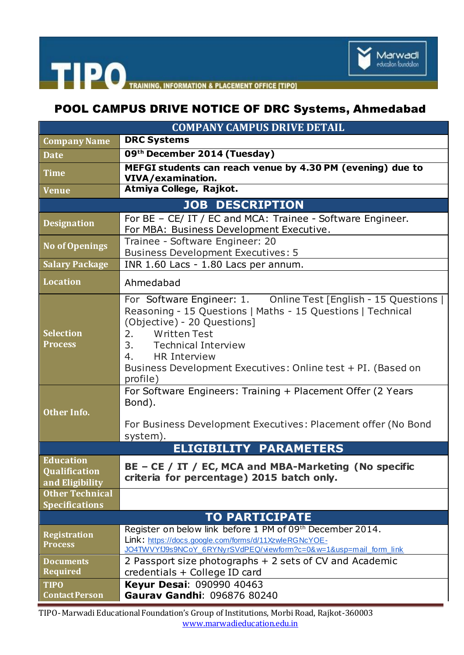

## THE PO TRAINING, INFORMATION & PLACEMENT OFFICE [TIPO]

## POOL CAMPUS DRIVE NOTICE OF DRC Systems, Ahmedabad

| <b>COMPANY CAMPUS DRIVE DETAIL</b>                   |                                                                                                                                                                                                                                                                                                                               |
|------------------------------------------------------|-------------------------------------------------------------------------------------------------------------------------------------------------------------------------------------------------------------------------------------------------------------------------------------------------------------------------------|
| <b>Company Name</b>                                  | <b>DRC Systems</b>                                                                                                                                                                                                                                                                                                            |
| <b>Date</b>                                          | 09th December 2014 (Tuesday)                                                                                                                                                                                                                                                                                                  |
| <b>Time</b>                                          | MEFGI students can reach venue by 4.30 PM (evening) due to<br>VIVA/examination.                                                                                                                                                                                                                                               |
| <b>Venue</b>                                         | Atmiya College, Rajkot.                                                                                                                                                                                                                                                                                                       |
| <b>JOB DESCRIPTION</b>                               |                                                                                                                                                                                                                                                                                                                               |
| <b>Designation</b>                                   | For BE - CE/ IT / EC and MCA: Trainee - Software Engineer.<br>For MBA: Business Development Executive.                                                                                                                                                                                                                        |
| <b>No of Openings</b>                                | Trainee - Software Engineer: 20<br><b>Business Development Executives: 5</b>                                                                                                                                                                                                                                                  |
| <b>Salary Package</b>                                | INR 1.60 Lacs - 1.80 Lacs per annum.                                                                                                                                                                                                                                                                                          |
| <b>Location</b>                                      | Ahmedabad                                                                                                                                                                                                                                                                                                                     |
| <b>Selection</b><br><b>Process</b>                   | For Software Engineer: 1. Online Test [English - 15 Questions  <br>Reasoning - 15 Questions   Maths - 15 Questions   Technical<br>(Objective) - 20 Questions]<br><b>Written Test</b><br>2.<br>3. Technical Interview<br><b>HR Interview</b><br>4.<br>Business Development Executives: Online test + PI. (Based on<br>profile) |
| <b>Other Info.</b>                                   | For Software Engineers: Training + Placement Offer (2 Years<br>Bond).<br>For Business Development Executives: Placement offer (No Bond<br>system).                                                                                                                                                                            |
| <b>ELIGIBILITY PARAMETERS</b>                        |                                                                                                                                                                                                                                                                                                                               |
| <b>Education</b><br>Qualification<br>and Eligibility | BE - CE / IT / EC, MCA and MBA-Marketing (No specific<br>criteria for percentage) 2015 batch only.                                                                                                                                                                                                                            |
| <b>Other Technical</b><br><b>Specifications</b>      |                                                                                                                                                                                                                                                                                                                               |
| <b>TO PARTICIPATE</b>                                |                                                                                                                                                                                                                                                                                                                               |
| <b>Registration</b><br><b>Process</b>                | Register on below link before 1 PM of 09th December 2014.<br>Link: https://docs.google.com/forms/d/11XzwleRGNcYOE-<br>JO4TWVYfJ9s9NCoY 6RYNyrSVdPEQ/viewform?c=0&w=1&usp=mail form link                                                                                                                                       |
| <b>Documents</b><br><b>Required</b>                  | 2 Passport size photographs + 2 sets of CV and Academic<br>credentials + College ID card                                                                                                                                                                                                                                      |
| <b>TIPO</b><br><b>Contact Person</b>                 | Keyur Desai: 090990 40463<br>Gaurav Gandhi: 096876 80240                                                                                                                                                                                                                                                                      |

TIPO-Marwadi Educational Foundation's Group of Institutions, Morbi Road, Rajkot-360003 [www.marwadieducation.edu.in](http://www.marwadieducation.edu.in/)